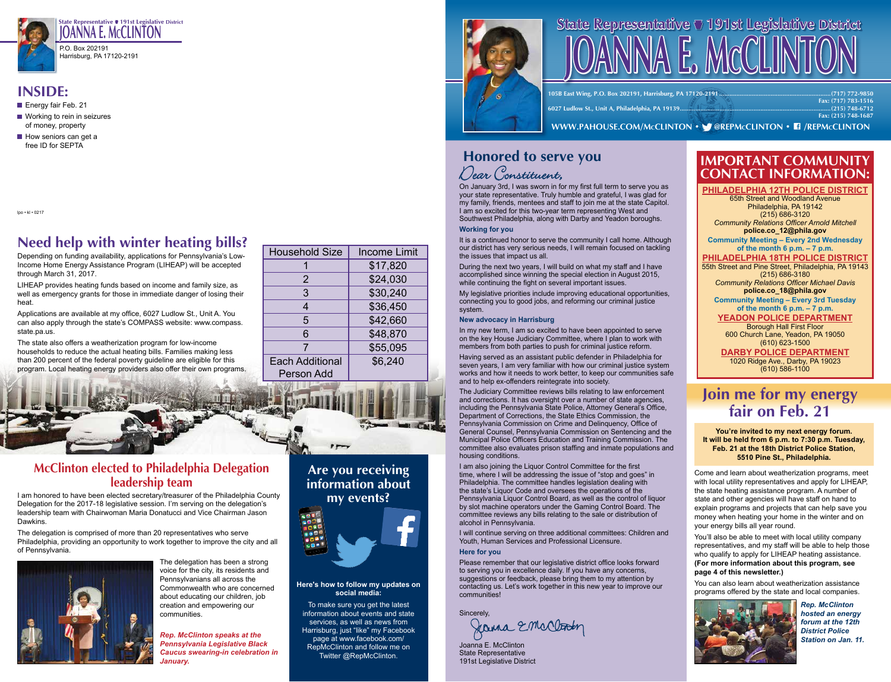

**State Representative ● 191st Legislative District**<br>**State Representative ● 191st Legislative District JOANNA E. MCCLINTON**<br>P.O. Box 202191<br>Harrisburg, PA 17120-2191 P.O. Box 202191 Harrisburg, PA 17120-2191

## **INSIDE:**

- Energy fair Feb. 21
- Working to rein in seizures of money, property
- $\blacksquare$  How seniors can get a free ID for SEPTA

lpo • kl • 0217

# **Need help with winter heating bills?**

Depending on funding availability, applications for Pennsylvania's Low-Income Home Energy Assistance Program (LIHEAP) will be accepted through March 31, 2017.

LIHEAP provides heating funds based on income and family size, as well as emergency grants for those in immediate danger of losing their heat.

Applications are available at my office, 6027 Ludlow St., Unit A. You can also apply through the state's COMPASS website: www.compass. state.pa.us.

The state also offers a weatherization program for low-income households to reduce the actual heating bills. Families making less than 200 percent of the federal poverty guideline are eligible for this program. Local heating energy providers also offer their own programs.

| <b>Household Size</b>                       | <b>Income Limit</b> |
|---------------------------------------------|---------------------|
|                                             | \$17,820            |
| 2                                           | \$24,030            |
| 3                                           | \$30,240            |
| 4                                           | \$36,450            |
| 5                                           | \$42,660            |
| 6                                           | \$48,870            |
|                                             | \$55,095            |
| <b>Each Additional</b><br><b>Person Add</b> | \$6,240             |

### **McClinton elected to Philadelphia Delegation leadership team**

I am honored to have been elected secretary/treasurer of the Philadelphia County Delegation for the 2017-18 legislative session. I'm serving on the delegation's leadership team with Chairwoman Maria Donatucci and Vice Chairman Jason Dawkins.

The delegation is comprised of more than 20 representatives who serve Philadelphia, providing an opportunity to work together to improve the city and all of Pennsylvania.



The delegation has been a strong voice for the city, its residents and Pennsylvanians all across the Commonwealth who are concerned about educating our children, job creation and empowering our communities.

*Rep. McClinton speaks at the Pennsylvania Legislative Black Caucus swearing-in celebration in January.*

**Are you receiving information about my events?**



#### **Here's how to follow my updates on social media:**

To make sure you get the latest information about events and state services, as well as news from Harrisburg, just "like" my Facebook page at www.facebook.com/ RepMcClinton and follow me on Twitter @RepMcClinton.